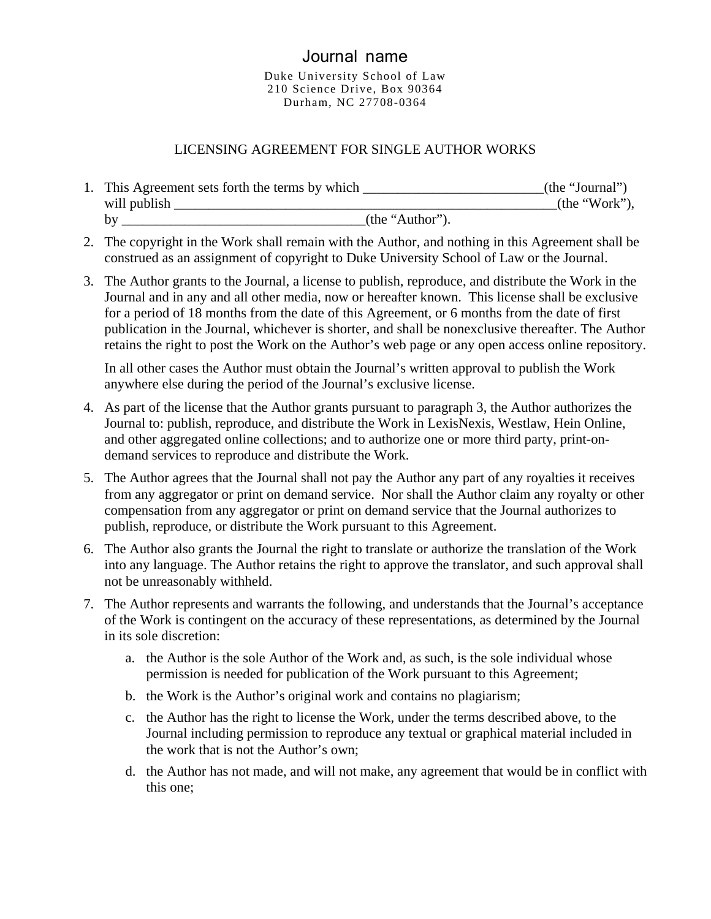## Journal name

Duke University School of Law 210 Science Drive, Box 90364 Durham, NC 27708-0364

## LICENSING AGREEMENT FOR SINGLE AUTHOR WORKS

| 1. This Agreement sets forth the terms by which |                 | (the "Journal") |
|-------------------------------------------------|-----------------|-----------------|
| will publish                                    |                 | (the "Work").   |
| b٧                                              | (the "Author"). |                 |

- 2. The copyright in the Work shall remain with the Author, and nothing in this Agreement shall be construed as an assignment of copyright to Duke University School of Law or the Journal.
- 3. The Author grants to the Journal, a license to publish, reproduce, and distribute the Work in the Journal and in any and all other media, now or hereafter known. This license shall be exclusive for a period of 18 months from the date of this Agreement, or 6 months from the date of first publication in the Journal, whichever is shorter, and shall be nonexclusive thereafter. The Author retains the right to post the Work on the Author's web page or any open access online repository.

In all other cases the Author must obtain the Journal's written approval to publish the Work anywhere else during the period of the Journal's exclusive license.

- 4. As part of the license that the Author grants pursuant to paragraph 3, the Author authorizes the Journal to: publish, reproduce, and distribute the Work in LexisNexis, Westlaw, Hein Online, and other aggregated online collections; and to authorize one or more third party, print-ondemand services to reproduce and distribute the Work.
- 5. The Author agrees that the Journal shall not pay the Author any part of any royalties it receives from any aggregator or print on demand service. Nor shall the Author claim any royalty or other compensation from any aggregator or print on demand service that the Journal authorizes to publish, reproduce, or distribute the Work pursuant to this Agreement.
- 6. The Author also grants the Journal the right to translate or authorize the translation of the Work into any language. The Author retains the right to approve the translator, and such approval shall not be unreasonably withheld.
- 7. The Author represents and warrants the following, and understands that the Journal's acceptance of the Work is contingent on the accuracy of these representations, as determined by the Journal in its sole discretion:
	- a. the Author is the sole Author of the Work and, as such, is the sole individual whose permission is needed for publication of the Work pursuant to this Agreement;
	- b. the Work is the Author's original work and contains no plagiarism;
	- c. the Author has the right to license the Work, under the terms described above, to the Journal including permission to reproduce any textual or graphical material included in the work that is not the Author's own;
	- d. the Author has not made, and will not make, any agreement that would be in conflict with this one;